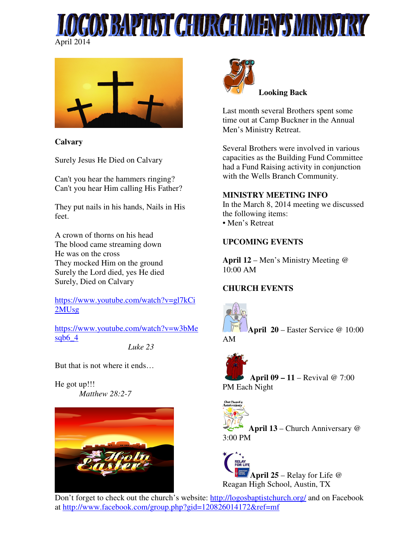



**Calvary** 

Surely Jesus He Died on Calvary

Can't you hear the hammers ringing? Can't you hear Him calling His Father?

They put nails in his hands, Nails in His feet.

A crown of thorns on his head The blood came streaming down He was on the cross They mocked Him on the ground Surely the Lord died, yes He died Surely, Died on Calvary

https://www.youtube.com/watch?v=gl7kCi 2MUsg

https://www.youtube.com/watch?v=w3bMe sqb $6\,4$ 

*Luke 23* 

But that is not where it ends…

He got up!!! *Matthew 28:2-7* 





 **Looking Back** 

Last month several Brothers spent some time out at Camp Buckner in the Annual Men's Ministry Retreat.

Several Brothers were involved in various capacities as the Building Fund Committee had a Fund Raising activity in conjunction with the Wells Branch Community.

#### **MINISTRY MEETING INFO**

In the March 8, 2014 meeting we discussed the following items: • Men's Retreat

## **UPCOMING EVENTS**

**April 12** – Men's Ministry Meeting @  $10:00$  AM

#### **CHURCH EVENTS**



**April 20** – Easter Service @ 10:00 AM

**April 09 – 11** – Revival @ 7:00 PM Each Night



**April 13** – Church Anniversary @ 3:00 PM

**April 25** – Relay for Life @ Reagan High School, Austin, TX

Don't forget to check out the church's website: http://logosbaptistchurch.org/ and on Facebook at http://www.facebook.com/group.php?gid=120826014172&ref=mf